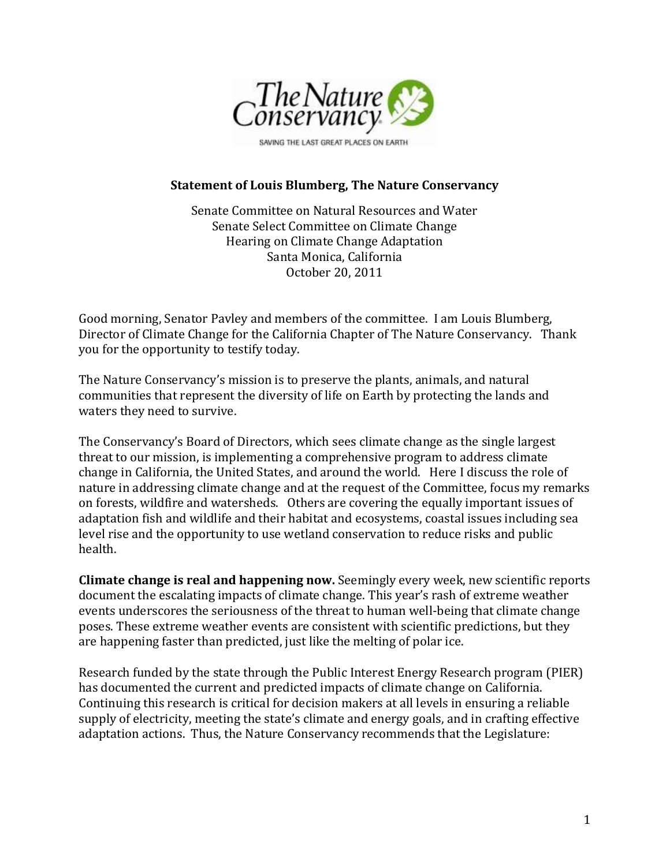

#### **Statement of Louis Blumberg, The Nature Conservancy**

Senate Committee on Natural Resources and Water Senate Select Committee on Climate Change Hearing on Climate Change Adaptation Santa Monica, California October 20, 2011

Good morning, Senator Pavley and members of the committee. I am Louis Blumberg, Director of Climate Change for the California Chapter of The Nature Conservancy. Thank you for the opportunity to testify today.

The Nature Conservancy's mission is to preserve the plants, animals, and natural communities that represent the diversity of life on Earth by protecting the lands and waters they need to survive.

The Conservancy's Board of Directors, which sees climate change as the single largest threat to our mission, is implementing a comprehensive program to address climate change in California, the United States, and around the world. Here I discuss the role of nature in addressing climate change and at the request of the Committee, focus my remarks on forests, wildfire and watersheds. Others are covering the equally important issues of adaptation fish and wildlife and their habitat and ecosystems, coastal issues including sea level rise and the opportunity to use wetland conservation to reduce risks and public health.

**Climate change is real and happening now.** Seemingly every week, new scientific reports document the escalating impacts of climate change. This year's rash of extreme weather events underscores the seriousness of the threat to human well-being that climate change poses. These extreme weather events are consistent with scientific predictions, but they are happening faster than predicted, just like the melting of polar ice.

Research funded by the state through the Public Interest Energy Research program (PIER) has documented the current and predicted impacts of climate change on California. Continuing this research is critical for decision makers at all levels in ensuring a reliable supply of electricity, meeting the state's climate and energy goals, and in crafting effective adaptation actions. Thus, the Nature Conservancy recommends that the Legislature: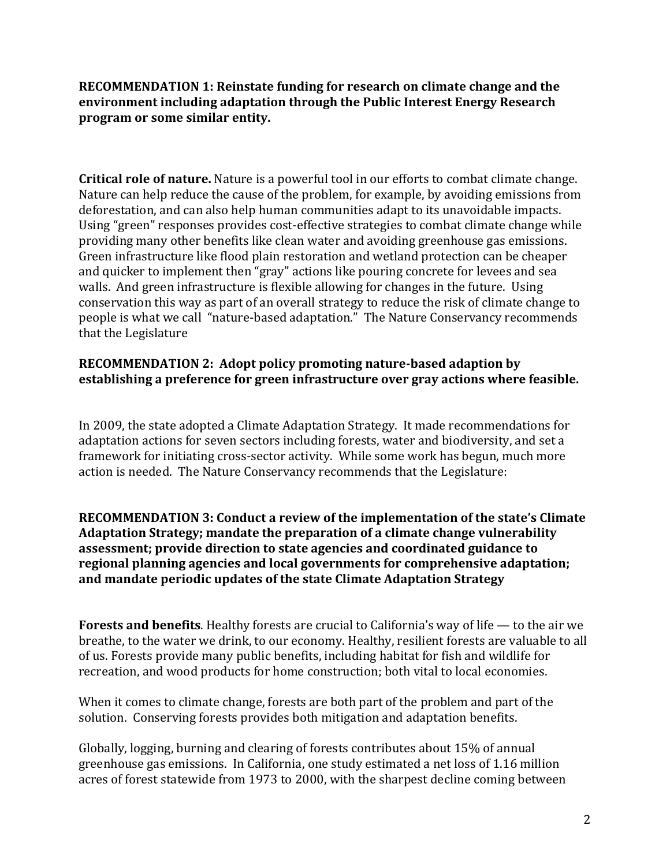**RECOMMENDATION 1: Reinstate funding for research on climate change and the environment including adaptation through the Public Interest Energy Research program or some similar entity.**

**Critical role of nature.** Nature is a powerful tool in our efforts to combat climate change. Nature can help reduce the cause of the problem, for example, by avoiding emissions from deforestation, and can also help human communities adapt to its unavoidable impacts. Using "green" responses provides cost-effective strategies to combat climate change while providing many other benefits like clean water and avoiding greenhouse gas emissions. Green infrastructure like flood plain restoration and wetland protection can be cheaper and quicker to implement then "gray" actions like pouring concrete for levees and sea walls. And green infrastructure is flexible allowing for changes in the future. Using conservation this way as part of an overall strategy to reduce the risk of climate change to people is what we call "nature-based adaptation." The Nature Conservancy recommends that the Legislature

# **RECOMMENDATION 2: Adopt policy promoting nature-based adaption by establishing a preference for green infrastructure over gray actions where feasible.**

In 2009, the state adopted a Climate Adaptation Strategy. It made recommendations for adaptation actions for seven sectors including forests, water and biodiversity, and set a framework for initiating cross-sector activity. While some work has begun, much more action is needed. The Nature Conservancy recommends that the Legislature:

**RECOMMENDATION 3: Conduct a review of the implementation of the state's Climate Adaptation Strategy; mandate the preparation of a climate change vulnerability assessment; provide direction to state agencies and coordinated guidance to regional planning agencies and local governments for comprehensive adaptation; and mandate periodic updates of the state Climate Adaptation Strategy**

**Forests and benefits**. Healthy forests are crucial to California's way of life — to the air we breathe, to the water we drink, to our economy. Healthy, resilient forests are valuable to all of us. Forests provide many public benefits, including habitat for fish and wildlife for recreation, and wood products for home construction; both vital to local economies.

When it comes to climate change, forests are both part of the problem and part of the solution. Conserving forests provides both mitigation and adaptation benefits.

Globally, logging, burning and clearing of forests contributes about 15% of annual greenhouse gas emissions. In California, one study estimated a net loss of 1.16 million acres of forest statewide from 1973 to 2000, with the sharpest decline coming between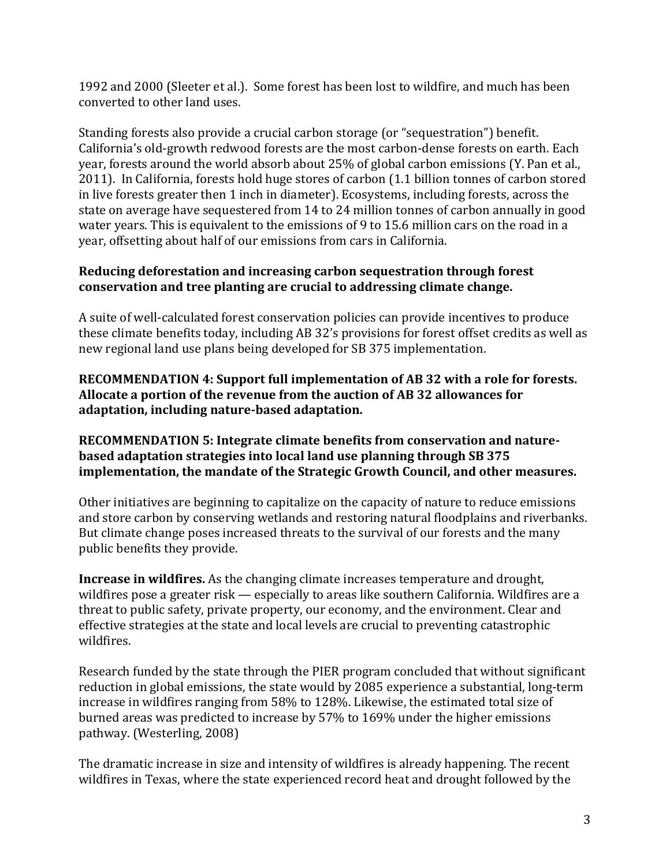1992 and 2000 (Sleeter et al.). Some forest has been lost to wildfire, and much has been converted to other land uses.

Standing forests also provide a crucial carbon storage (or "sequestration") benefit. California's old-growth redwood forests are the most carbon-dense forests on earth. Each year, forests around the world absorb about 25% of global carbon emissions (Y. Pan et al., 2011). In California, forests hold huge stores of carbon (1.1 billion tonnes of carbon stored in live forests greater then 1 inch in diameter). Ecosystems, including forests, across the state on average have sequestered from 14 to 24 million tonnes of carbon annually in good water years. This is equivalent to the emissions of 9 to 15.6 million cars on the road in a year, offsetting about half of our emissions from cars in California.

# **Reducing deforestation and increasing carbon sequestration through forest conservation and tree planting are crucial to addressing climate change.**

A suite of well-calculated forest conservation policies can provide incentives to produce these climate benefits today, including AB 32's provisions for forest offset credits as well as new regional land use plans being developed for SB 375 implementation.

### **RECOMMENDATION 4: Support full implementation of AB 32 with a role for forests. Allocate a portion of the revenue from the auction of AB 32 allowances for adaptation, including nature-based adaptation.**

#### **RECOMMENDATION 5: Integrate climate benefits from conservation and naturebased adaptation strategies into local land use planning through SB 375 implementation, the mandate of the Strategic Growth Council, and other measures.**

Other initiatives are beginning to capitalize on the capacity of nature to reduce emissions and store carbon by conserving wetlands and restoring natural floodplains and riverbanks. But climate change poses increased threats to the survival of our forests and the many public benefits they provide.

**Increase in wildfires.** As the changing climate increases temperature and drought, wildfires pose a greater risk — especially to areas like southern California. Wildfires are a threat to public safety, private property, our economy, and the environment. Clear and effective strategies at the state and local levels are crucial to preventing catastrophic wildfires.

Research funded by the state through the PIER program concluded that without significant reduction in global emissions, the state would by 2085 experience a substantial, long-term increase in wildfires ranging from 58% to 128%. Likewise, the estimated total size of burned areas was predicted to increase by 57% to 169% under the higher emissions pathway. (Westerling, 2008)

The dramatic increase in size and intensity of wildfires is already happening. The recent wildfires in Texas, where the state experienced record heat and drought followed by the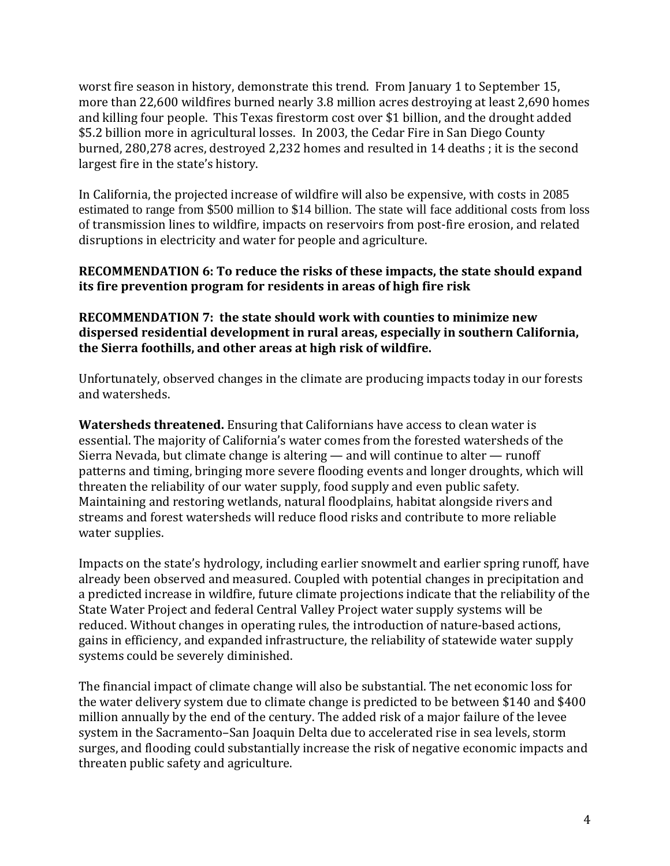worst fire season in history, demonstrate this trend. From January 1 to September 15, more than 22,600 wildfires burned nearly 3.8 million acres destroying at least 2,690 homes and killing four people. This Texas firestorm cost over \$1 billion, and the drought added \$5.2 billion more in agricultural losses. In 2003, the Cedar Fire in San Diego County burned, 280,278 acres, destroyed 2,232 homes and resulted in 14 deaths ; it is the second largest fire in the state's history.

In California, the projected increase of wildfire will also be expensive, with costs in 2085 estimated to range from \$500 million to \$14 billion. The state will face additional costs from loss of transmission lines to wildfire, impacts on reservoirs from post-fire erosion, and related disruptions in electricity and water for people and agriculture.

### **RECOMMENDATION 6: To reduce the risks of these impacts, the state should expand its fire prevention program for residents in areas of high fire risk**

## **RECOMMENDATION 7: the state should work with counties to minimize new dispersed residential development in rural areas, especially in southern California, the Sierra foothills, and other areas at high risk of wildfire.**

Unfortunately, observed changes in the climate are producing impacts today in our forests and watersheds.

**Watersheds threatened.** Ensuring that Californians have access to clean water is essential. The majority of California's water comes from the forested watersheds of the Sierra Nevada, but climate change is altering — and will continue to alter — runoff patterns and timing, bringing more severe flooding events and longer droughts, which will threaten the reliability of our water supply, food supply and even public safety. Maintaining and restoring wetlands, natural floodplains, habitat alongside rivers and streams and forest watersheds will reduce flood risks and contribute to more reliable water supplies.

Impacts on the state's hydrology, including earlier snowmelt and earlier spring runoff, have already been observed and measured. Coupled with potential changes in precipitation and a predicted increase in wildfire, future climate projections indicate that the reliability of the State Water Project and federal Central Valley Project water supply systems will be reduced. Without changes in operating rules, the introduction of nature-based actions, gains in efficiency, and expanded infrastructure, the reliability of statewide water supply systems could be severely diminished.

The financial impact of climate change will also be substantial. The net economic loss for the water delivery system due to climate change is predicted to be between \$140 and \$400 million annually by the end of the century. The added risk of a major failure of the levee system in the Sacramento–San Joaquin Delta due to accelerated rise in sea levels, storm surges, and flooding could substantially increase the risk of negative economic impacts and threaten public safety and agriculture.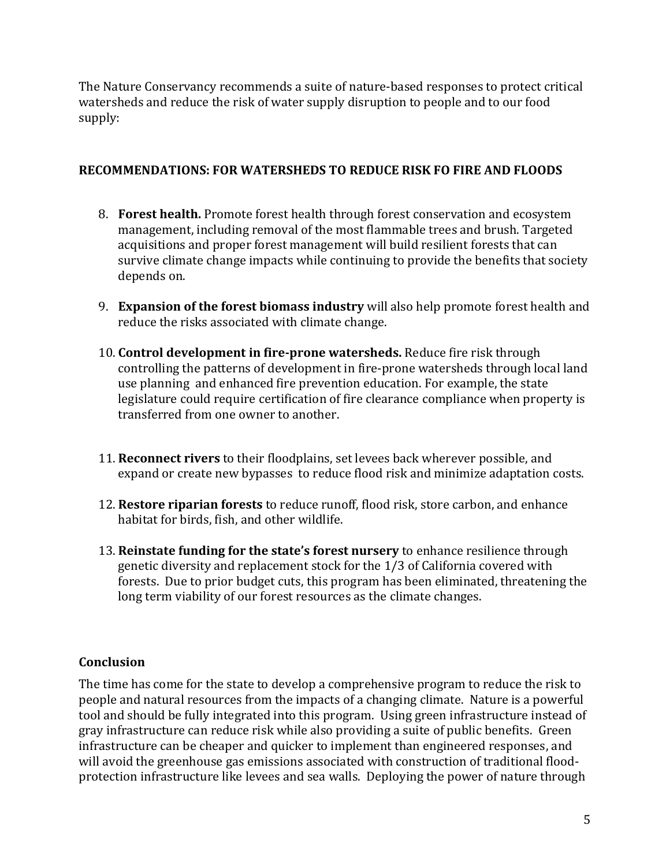The Nature Conservancy recommends a suite of nature-based responses to protect critical watersheds and reduce the risk of water supply disruption to people and to our food supply:

### **RECOMMENDATIONS: FOR WATERSHEDS TO REDUCE RISK FO FIRE AND FLOODS**

- 8. **Forest health.** Promote forest health through forest conservation and ecosystem management, including removal of the most flammable trees and brush. Targeted acquisitions and proper forest management will build resilient forests that can survive climate change impacts while continuing to provide the benefits that society depends on.
- 9. **Expansion of the forest biomass industry** will also help promote forest health and reduce the risks associated with climate change.
- 10. **Control development in fire-prone watersheds.** Reduce fire risk through controlling the patterns of development in fire-prone watersheds through local land use planning and enhanced fire prevention education. For example, the state legislature could require certification of fire clearance compliance when property is transferred from one owner to another.
- 11. **Reconnect rivers** to their floodplains, set levees back wherever possible, and expand or create new bypasses to reduce flood risk and minimize adaptation costs.
- 12. **Restore riparian forests** to reduce runoff, flood risk, store carbon, and enhance habitat for birds, fish, and other wildlife.
- 13. **Reinstate funding for the state's forest nursery** to enhance resilience through genetic diversity and replacement stock for the 1/3 of California covered with forests. Due to prior budget cuts, this program has been eliminated, threatening the long term viability of our forest resources as the climate changes.

# **Conclusion**

The time has come for the state to develop a comprehensive program to reduce the risk to people and natural resources from the impacts of a changing climate. Nature is a powerful tool and should be fully integrated into this program. Using green infrastructure instead of gray infrastructure can reduce risk while also providing a suite of public benefits. Green infrastructure can be cheaper and quicker to implement than engineered responses, and will avoid the greenhouse gas emissions associated with construction of traditional floodprotection infrastructure like levees and sea walls. Deploying the power of nature through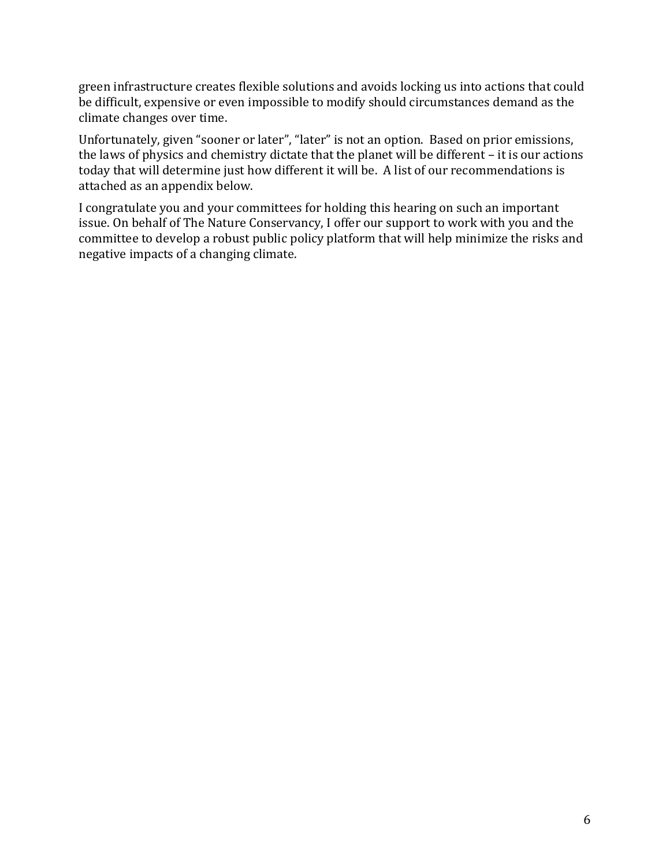green infrastructure creates flexible solutions and avoids locking us into actions that could be difficult, expensive or even impossible to modify should circumstances demand as the climate changes over time.

Unfortunately, given "sooner or later", "later" is not an option. Based on prior emissions, the laws of physics and chemistry dictate that the planet will be different – it is our actions today that will determine just how different it will be. A list of our recommendations is attached as an appendix below.

I congratulate you and your committees for holding this hearing on such an important issue. On behalf of The Nature Conservancy, I offer our support to work with you and the committee to develop a robust public policy platform that will help minimize the risks and negative impacts of a changing climate.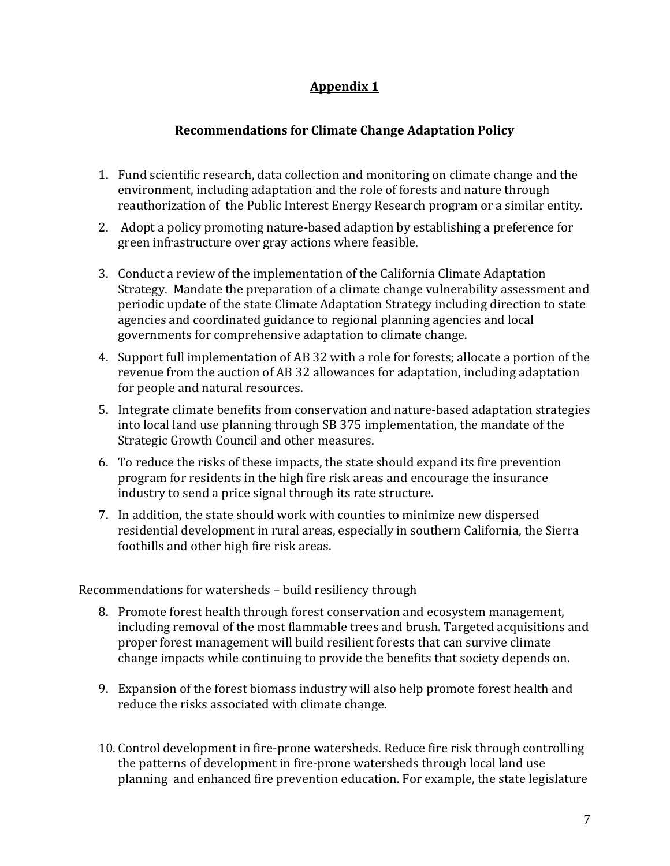# **Appendix 1**

## **Recommendations for Climate Change Adaptation Policy**

- 1. Fund scientific research, data collection and monitoring on climate change and the environment, including adaptation and the role of forests and nature through reauthorization of the Public Interest Energy Research program or a similar entity.
- 2. Adopt a policy promoting nature-based adaption by establishing a preference for green infrastructure over gray actions where feasible.
- 3. Conduct a review of the implementation of the California Climate Adaptation Strategy. Mandate the preparation of a climate change vulnerability assessment and periodic update of the state Climate Adaptation Strategy including direction to state agencies and coordinated guidance to regional planning agencies and local governments for comprehensive adaptation to climate change.
- 4. Support full implementation of AB 32 with a role for forests; allocate a portion of the revenue from the auction of AB 32 allowances for adaptation, including adaptation for people and natural resources.
- 5. Integrate climate benefits from conservation and nature-based adaptation strategies into local land use planning through SB 375 implementation, the mandate of the Strategic Growth Council and other measures.
- 6. To reduce the risks of these impacts, the state should expand its fire prevention program for residents in the high fire risk areas and encourage the insurance industry to send a price signal through its rate structure.
- 7. In addition, the state should work with counties to minimize new dispersed residential development in rural areas, especially in southern California, the Sierra foothills and other high fire risk areas.

Recommendations for watersheds – build resiliency through

- 8. Promote forest health through forest conservation and ecosystem management, including removal of the most flammable trees and brush. Targeted acquisitions and proper forest management will build resilient forests that can survive climate change impacts while continuing to provide the benefits that society depends on.
- 9. Expansion of the forest biomass industry will also help promote forest health and reduce the risks associated with climate change.
- 10. Control development in fire-prone watersheds. Reduce fire risk through controlling the patterns of development in fire-prone watersheds through local land use planning and enhanced fire prevention education. For example, the state legislature